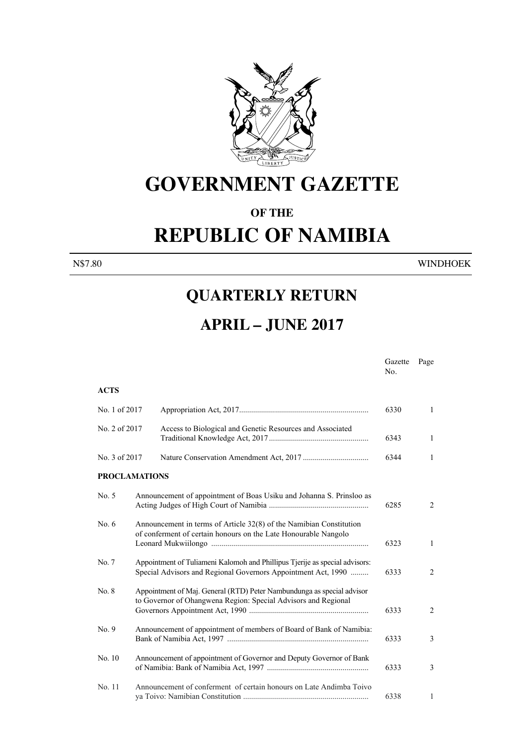

## **GOVERNMENT GAZETTE**

#### **OF THE**

# **REPUBLIC OF NAMIBIA**

N\$7.80 WINDHOEK

### **QUARTERLY RETURN**

### **APRIL – JUNE 2017**

Gazette Page No. No. 1996. In the state of the state of the state of the state of the state of the state of the state of the state of the state of the state of the state of the state of the state of the state of the state of the state

#### **ACTS** No. 1 of 2017 Appropriation Act, 2017................................................................. 6330 1 No. 2 of 2017 Access to Biological and Genetic Resources and Associated Traditional Knowledge Act, 2017 .................................................. 6343 1 No. 3 of 2017 Nature Conservation Amendment Act, 2017 ................................. 6344 1 **PROCLAMATIONS** No. 5 Announcement of appointment of Boas Usiku and Johanna S. Prinsloo as Acting Judges of High Court of Namibia .................................................. 6285 2 No. 6 Announcement in terms of Article 32(8) of the Namibian Constitution of conferment of certain honours on the Late Honourable Nangolo Leonard Mukwiilongo ............................................................................... 6323 1 No. 7 Appointment of Tuliameni Kalomoh and Phillipus Tjerije as special advisors: Special Advisors and Regional Governors Appointment Act, 1990 ......... 6333 2 No. 8 Appointment of Maj. General (RTD) Peter Nambundunga as special advisor to Governor of Ohangwena Region: Special Advisors and Regional Governors Appointment Act, 1990 ............................................................ 6333 2 No. 9 Announcement of appointment of members of Board of Bank of Namibia: Bank of Namibia Act, 1997 ....................................................................... 6333 3 No. 10 Announcement of appointment of Governor and Deputy Governor of Bank of Namibia: Bank of Namibia Act, 1997 ................................................... 6333 3 No. 11 Announcement of conferment of certain honours on Late Andimba Toivo ya Toivo: Namibian Constitution ............................................................... 6338 1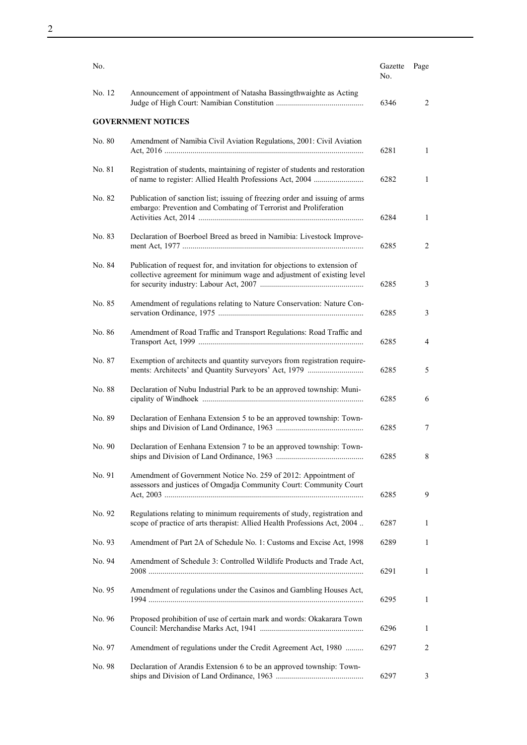| No.    |                                                                                                                                                     | Gazette<br>No. | Page |
|--------|-----------------------------------------------------------------------------------------------------------------------------------------------------|----------------|------|
| No. 12 | Announcement of appointment of Natasha Bassingthwaighte as Acting                                                                                   | 6346           | 2    |
|        | <b>GOVERNMENT NOTICES</b>                                                                                                                           |                |      |
| No. 80 | Amendment of Namibia Civil Aviation Regulations, 2001: Civil Aviation                                                                               | 6281           | 1    |
| No. 81 | Registration of students, maintaining of register of students and restoration<br>of name to register: Allied Health Professions Act, 2004           | 6282           | 1    |
| No. 82 | Publication of sanction list; issuing of freezing order and issuing of arms<br>embargo: Prevention and Combating of Terrorist and Proliferation     | 6284           | 1    |
| No. 83 | Declaration of Boerboel Breed as breed in Namibia: Livestock Improve-                                                                               | 6285           | 2    |
| No. 84 | Publication of request for, and invitation for objections to extension of<br>collective agreement for minimum wage and adjustment of existing level | 6285           | 3    |
| No. 85 | Amendment of regulations relating to Nature Conservation: Nature Con-                                                                               | 6285           | 3    |
| No. 86 | Amendment of Road Traffic and Transport Regulations: Road Traffic and                                                                               | 6285           | 4    |
| No. 87 | Exemption of architects and quantity surveyors from registration require-                                                                           | 6285           | 5    |
| No. 88 | Declaration of Nubu Industrial Park to be an approved township: Muni-                                                                               | 6285           | 6    |
| No. 89 | Declaration of Eenhana Extension 5 to be an approved township: Town-                                                                                | 6285           | 7    |
| No. 90 | Declaration of Eenhana Extension 7 to be an approved township: Town-                                                                                | 6285           | 8    |
| No. 91 | Amendment of Government Notice No. 259 of 2012: Appointment of<br>assessors and justices of Omgadja Community Court: Community Court                | 6285           | 9    |
| No. 92 | Regulations relating to minimum requirements of study, registration and<br>scope of practice of arts therapist: Allied Health Professions Act, 2004 | 6287           | 1    |
| No. 93 | Amendment of Part 2A of Schedule No. 1: Customs and Excise Act, 1998                                                                                | 6289           | 1    |
| No. 94 | Amendment of Schedule 3: Controlled Wildlife Products and Trade Act,                                                                                | 6291           | 1    |
| No. 95 | Amendment of regulations under the Casinos and Gambling Houses Act,                                                                                 | 6295           | 1    |
| No. 96 | Proposed prohibition of use of certain mark and words: Okakarara Town                                                                               | 6296           | 1    |
| No. 97 | Amendment of regulations under the Credit Agreement Act, 1980                                                                                       | 6297           | 2    |
| No. 98 | Declaration of Arandis Extension 6 to be an approved township: Town-                                                                                | 6297           | 3    |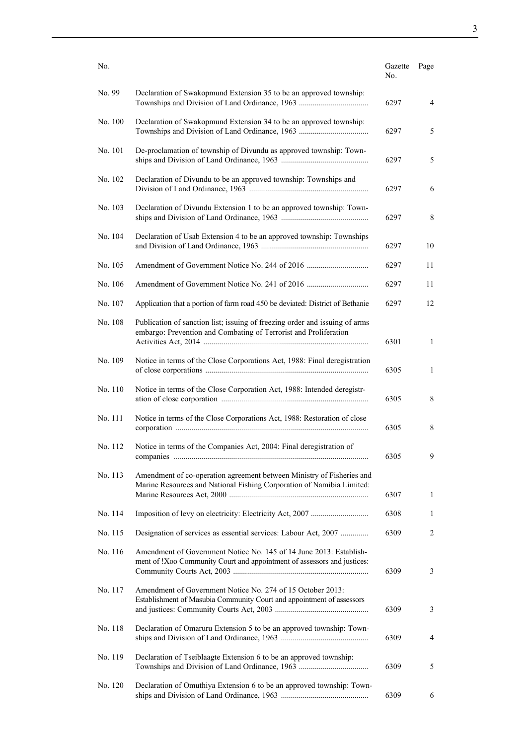| No.     |                                                                                                                                                 | Gazette<br>No. | Page         |
|---------|-------------------------------------------------------------------------------------------------------------------------------------------------|----------------|--------------|
| No. 99  | Declaration of Swakopmund Extension 35 to be an approved township:                                                                              | 6297           | 4            |
| No. 100 | Declaration of Swakopmund Extension 34 to be an approved township:                                                                              | 6297           | 5            |
| No. 101 | De-proclamation of township of Divundu as approved township: Town-                                                                              | 6297           | 5            |
| No. 102 | Declaration of Divundu to be an approved township: Townships and                                                                                | 6297           | 6            |
| No. 103 | Declaration of Divundu Extension 1 to be an approved township: Town-                                                                            | 6297           | 8            |
| No. 104 | Declaration of Usab Extension 4 to be an approved township: Townships                                                                           | 6297           | 10           |
| No. 105 |                                                                                                                                                 | 6297           | 11           |
| No. 106 |                                                                                                                                                 | 6297           | 11           |
| No. 107 | Application that a portion of farm road 450 be deviated: District of Bethanie                                                                   | 6297           | 12           |
| No. 108 | Publication of sanction list; issuing of freezing order and issuing of arms<br>embargo: Prevention and Combating of Terrorist and Proliferation | 6301           | $\mathbf{1}$ |
| No. 109 | Notice in terms of the Close Corporations Act, 1988: Final deregistration                                                                       | 6305           | 1            |
| No. 110 | Notice in terms of the Close Corporation Act, 1988: Intended deregistr-                                                                         | 6305           | 8            |
| No. 111 | Notice in terms of the Close Corporations Act, 1988: Restoration of close                                                                       | 6305           | 8            |
| No. 112 | Notice in terms of the Companies Act, 2004: Final deregistration of                                                                             | 6305           | 9            |
| No. 113 | Amendment of co-operation agreement between Ministry of Fisheries and<br>Marine Resources and National Fishing Corporation of Namibia Limited:  | 6307           | 1            |
| No. 114 |                                                                                                                                                 | 6308           | 1            |
| No. 115 | Designation of services as essential services: Labour Act, 2007                                                                                 | 6309           | 2            |
| No. 116 | Amendment of Government Notice No. 145 of 14 June 2013: Establish-<br>ment of !Xoo Community Court and appointment of assessors and justices:   | 6309           | 3            |
| No. 117 | Amendment of Government Notice No. 274 of 15 October 2013:<br>Establishment of Masubia Community Court and appointment of assessors             | 6309           | 3            |
| No. 118 | Declaration of Omaruru Extension 5 to be an approved township: Town-                                                                            | 6309           | 4            |
| No. 119 | Declaration of Tseiblaagte Extension 6 to be an approved township:                                                                              | 6309           | 5            |
| No. 120 | Declaration of Omuthiya Extension 6 to be an approved township: Town-                                                                           | 6309           | 6            |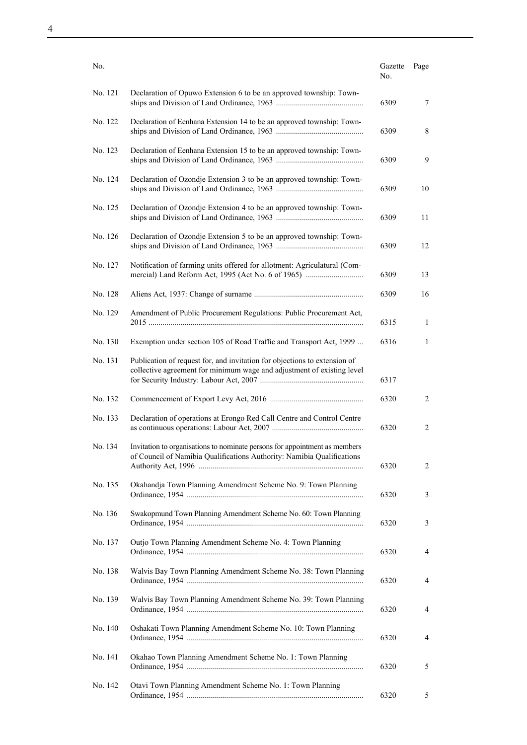| No.     |                                                                                                                                                      | Gazette<br>No. | Page |
|---------|------------------------------------------------------------------------------------------------------------------------------------------------------|----------------|------|
| No. 121 | Declaration of Opuwo Extension 6 to be an approved township: Town-                                                                                   | 6309           | 7    |
| No. 122 | Declaration of Eenhana Extension 14 to be an approved township: Town-                                                                                | 6309           | 8    |
| No. 123 | Declaration of Eenhana Extension 15 to be an approved township: Town-                                                                                | 6309           | 9    |
| No. 124 | Declaration of Ozondje Extension 3 to be an approved township: Town-                                                                                 | 6309           | 10   |
| No. 125 | Declaration of Ozondje Extension 4 to be an approved township: Town-                                                                                 | 6309           | 11   |
| No. 126 | Declaration of Ozondje Extension 5 to be an approved township: Town-                                                                                 | 6309           | 12   |
| No. 127 | Notification of farming units offered for allotment: Agriculatural (Com-                                                                             | 6309           | 13   |
| No. 128 |                                                                                                                                                      | 6309           | 16   |
| No. 129 | Amendment of Public Procurement Regulations: Public Procurement Act,                                                                                 | 6315           | 1    |
| No. 130 | Exemption under section 105 of Road Traffic and Transport Act, 1999                                                                                  | 6316           | 1    |
| No. 131 | Publication of request for, and invitation for objections to extension of<br>collective agreement for minimum wage and adjustment of existing level  | 6317           |      |
| No. 132 |                                                                                                                                                      | 6320           | 2    |
| No. 133 | Declaration of operations at Erongo Red Call Centre and Control Centre                                                                               | 6320           | 2    |
| No. 134 | Invitation to organisations to nominate persons for appointment as members<br>of Council of Namibia Qualifications Authority: Namibia Qualifications | 6320           | 2    |
| No. 135 | Okahandja Town Planning Amendment Scheme No. 9: Town Planning                                                                                        | 6320           | 3    |
| No. 136 | Swakopmund Town Planning Amendment Scheme No. 60: Town Planning                                                                                      | 6320           | 3    |
| No. 137 | Outjo Town Planning Amendment Scheme No. 4: Town Planning                                                                                            | 6320           | 4    |
| No. 138 | Walvis Bay Town Planning Amendment Scheme No. 38: Town Planning                                                                                      | 6320           | 4    |
| No. 139 | Walvis Bay Town Planning Amendment Scheme No. 39: Town Planning                                                                                      | 6320           | 4    |
| No. 140 | Oshakati Town Planning Amendment Scheme No. 10: Town Planning                                                                                        | 6320           | 4    |
| No. 141 | Okahao Town Planning Amendment Scheme No. 1: Town Planning                                                                                           | 6320           | 5    |
| No. 142 | Otavi Town Planning Amendment Scheme No. 1: Town Planning                                                                                            | 6320           | 5    |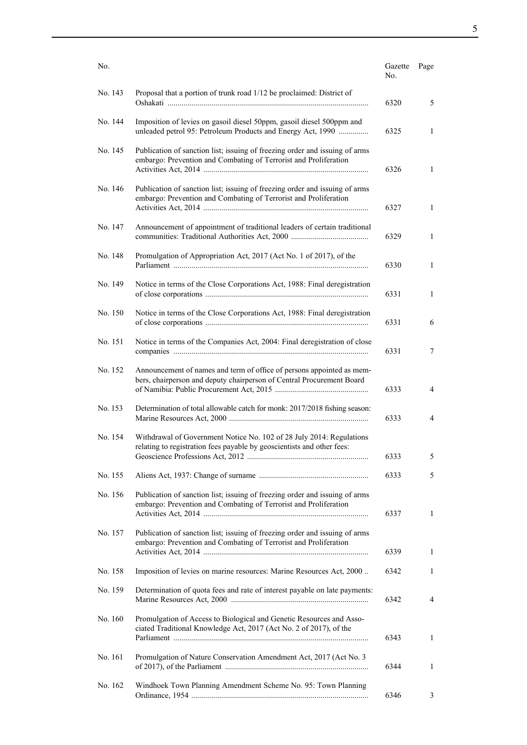| No.     |                                                                                                                                                 | Gazette<br>No. | Page           |
|---------|-------------------------------------------------------------------------------------------------------------------------------------------------|----------------|----------------|
| No. 143 | Proposal that a portion of trunk road 1/12 be proclaimed: District of                                                                           | 6320           | 5              |
| No. 144 | Imposition of levies on gasoil diesel 50ppm, gasoil diesel 500ppm and<br>unleaded petrol 95: Petroleum Products and Energy Act, 1990            | 6325           | 1              |
| No. 145 | Publication of sanction list; issuing of freezing order and issuing of arms<br>embargo: Prevention and Combating of Terrorist and Proliferation | 6326           | $\mathbf{1}$   |
| No. 146 | Publication of sanction list; issuing of freezing order and issuing of arms<br>embargo: Prevention and Combating of Terrorist and Proliferation | 6327           | 1              |
| No. 147 | Announcement of appointment of traditional leaders of certain traditional                                                                       | 6329           | 1              |
| No. 148 | Promulgation of Appropriation Act, 2017 (Act No. 1 of 2017), of the                                                                             | 6330           | 1              |
| No. 149 | Notice in terms of the Close Corporations Act, 1988: Final deregistration                                                                       | 6331           | $\mathbf{1}$   |
| No. 150 | Notice in terms of the Close Corporations Act, 1988: Final deregistration                                                                       | 6331           | 6              |
| No. 151 | Notice in terms of the Companies Act, 2004: Final deregistration of close                                                                       | 6331           | 7              |
| No. 152 | Announcement of names and term of office of persons appointed as mem-<br>bers, chairperson and deputy chairperson of Central Procurement Board  | 6333           | $\overline{4}$ |
| No. 153 | Determination of total allowable catch for monk: 2017/2018 fishing season:                                                                      | 6333           | 4              |
| No. 154 | Withdrawal of Government Notice No. 102 of 28 July 2014: Regulations<br>relating to registration fees payable by geoscientists and other fees:  | 6333           | 5              |
| No. 155 |                                                                                                                                                 | 6333           | 5              |
| No. 156 | Publication of sanction list; issuing of freezing order and issuing of arms<br>embargo: Prevention and Combating of Terrorist and Proliferation | 6337           | $\mathbf{1}$   |
| No. 157 | Publication of sanction list; issuing of freezing order and issuing of arms<br>embargo: Prevention and Combating of Terrorist and Proliferation | 6339           | 1              |
| No. 158 | Imposition of levies on marine resources: Marine Resources Act, 2000                                                                            | 6342           | 1              |
| No. 159 | Determination of quota fees and rate of interest payable on late payments:                                                                      | 6342           | 4              |
| No. 160 | Promulgation of Access to Biological and Genetic Resources and Asso-<br>ciated Traditional Knowledge Act, 2017 (Act No. 2 of 2017), of the      | 6343           | 1              |
| No. 161 | Promulgation of Nature Conservation Amendment Act, 2017 (Act No. 3                                                                              | 6344           | 1              |
| No. 162 | Windhoek Town Planning Amendment Scheme No. 95: Town Planning                                                                                   | 6346           | 3              |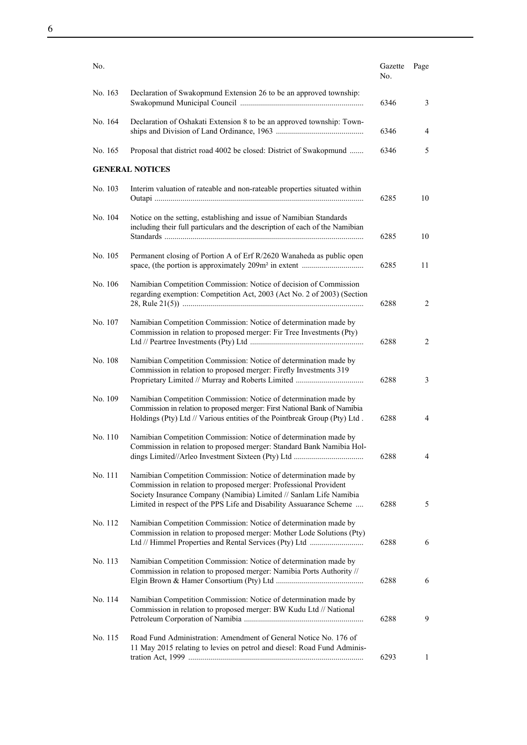| No.     |                                                                                                                                                                                                                                                                             | Gazette<br>No. | Page   |
|---------|-----------------------------------------------------------------------------------------------------------------------------------------------------------------------------------------------------------------------------------------------------------------------------|----------------|--------|
| No. 163 | Declaration of Swakopmund Extension 26 to be an approved township:                                                                                                                                                                                                          | 6346           | 3      |
| No. 164 | Declaration of Oshakati Extension 8 to be an approved township: Town-                                                                                                                                                                                                       | 6346           | 4      |
| No. 165 | Proposal that district road 4002 be closed: District of Swakopmund                                                                                                                                                                                                          | 6346           | 5      |
|         | <b>GENERAL NOTICES</b>                                                                                                                                                                                                                                                      |                |        |
| No. 103 | Interim valuation of rateable and non-rateable properties situated within                                                                                                                                                                                                   | 6285           | 10     |
| No. 104 | Notice on the setting, establishing and issue of Namibian Standards<br>including their full particulars and the description of each of the Namibian                                                                                                                         | 6285           | 10     |
| No. 105 | Permanent closing of Portion A of Erf R/2620 Wanaheda as public open                                                                                                                                                                                                        | 6285           | 11     |
| No. 106 | Namibian Competition Commission: Notice of decision of Commission<br>regarding exemption: Competition Act, 2003 (Act No. 2 of 2003) (Section                                                                                                                                | 6288           | 2      |
| No. 107 | Namibian Competition Commission: Notice of determination made by<br>Commission in relation to proposed merger: Fir Tree Investments (Pty)                                                                                                                                   | 6288           | 2      |
| No. 108 | Namibian Competition Commission: Notice of determination made by<br>Commission in relation to proposed merger: Firefly Investments 319                                                                                                                                      | 6288           | 3      |
| No. 109 | Namibian Competition Commission: Notice of determination made by<br>Commission in relation to proposed merger: First National Bank of Namibia<br>Holdings (Pty) Ltd // Various entities of the Pointbreak Group (Pty) Ltd.                                                  | 6288           | 4      |
| No. 110 | Namibian Competition Commission: Notice of determination made by<br>Commission in relation to proposed merger: Standard Bank Namibia Hol-                                                                                                                                   | 6288           | 4      |
| No. 111 | Namibian Competition Commission: Notice of determination made by<br>Commission in relation to proposed merger: Professional Provident<br>Society Insurance Company (Namibia) Limited // Sanlam Life Namibia                                                                 |                |        |
| No. 112 | Limited in respect of the PPS Life and Disability Assuarance Scheme<br>Namibian Competition Commission: Notice of determination made by<br>Commission in relation to proposed merger: Mother Lode Solutions (Pty)<br>Ltd // Himmel Properties and Rental Services (Pty) Ltd | 6288<br>6288   | 5<br>6 |
| No. 113 | Namibian Competition Commission: Notice of determination made by<br>Commission in relation to proposed merger: Namibia Ports Authority //                                                                                                                                   | 6288           | 6      |
| No. 114 | Namibian Competition Commission: Notice of determination made by<br>Commission in relation to proposed merger: BW Kudu Ltd // National                                                                                                                                      | 6288           | 9      |
| No. 115 | Road Fund Administration: Amendment of General Notice No. 176 of<br>11 May 2015 relating to levies on petrol and diesel: Road Fund Adminis-                                                                                                                                 | 6293           | 1      |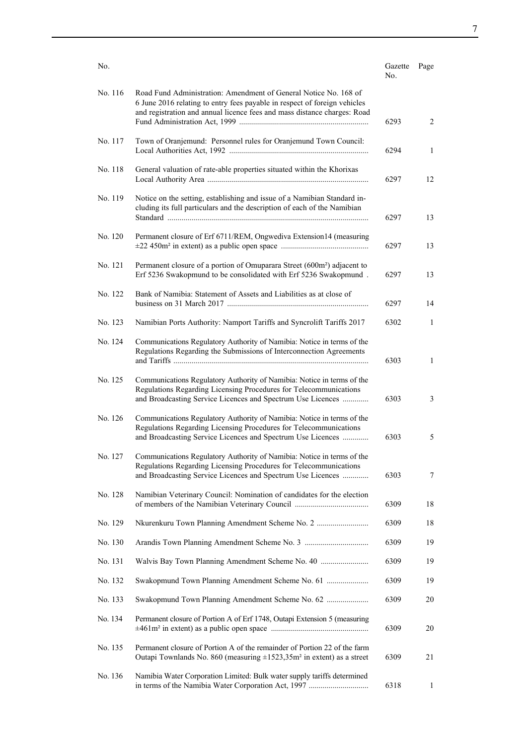| No.     |                                                                                                                                                                                                                           | Gazette<br>No. | Page         |
|---------|---------------------------------------------------------------------------------------------------------------------------------------------------------------------------------------------------------------------------|----------------|--------------|
| No. 116 | Road Fund Administration: Amendment of General Notice No. 168 of<br>6 June 2016 relating to entry fees payable in respect of foreign vehicles<br>and registration and annual licence fees and mass distance charges: Road | 6293           | 2            |
| No. 117 | Town of Oranjemund: Personnel rules for Oranjemund Town Council:                                                                                                                                                          | 6294           | 1            |
| No. 118 | General valuation of rate-able properties situated within the Khorixas                                                                                                                                                    | 6297           | 12           |
| No. 119 | Notice on the setting, establishing and issue of a Namibian Standard in-<br>cluding its full particulars and the description of each of the Namibian                                                                      | 6297           | 13           |
| No. 120 | Permanent closure of Erf 6711/REM, Ongwediva Extension14 (measuring                                                                                                                                                       | 6297           | 13           |
| No. 121 | Permanent closure of a portion of Omuparara Street (600m <sup>2</sup> ) adjacent to<br>Erf 5236 Swakopmund to be consolidated with Erf 5236 Swakopmund.                                                                   | 6297           | 13           |
| No. 122 | Bank of Namibia: Statement of Assets and Liabilities as at close of                                                                                                                                                       | 6297           | 14           |
| No. 123 | Namibian Ports Authority: Namport Tariffs and Syncrolift Tariffs 2017                                                                                                                                                     | 6302           | 1            |
| No. 124 | Communications Regulatory Authority of Namibia: Notice in terms of the<br>Regulations Regarding the Submissions of Interconnection Agreements                                                                             | 6303           | $\mathbf{1}$ |
| No. 125 | Communications Regulatory Authority of Namibia: Notice in terms of the<br>Regulations Regarding Licensing Procedures for Telecommunications<br>and Broadcasting Service Licences and Spectrum Use Licences                | 6303           | 3            |
| No. 126 | Communications Regulatory Authority of Namibia: Notice in terms of the<br>Regulations Regarding Licensing Procedures for Telecommunications<br>and Broadcasting Service Licences and Spectrum Use Licences                | 6303           | 5            |
| No. 127 | Communications Regulatory Authority of Namibia: Notice in terms of the<br>Regulations Regarding Licensing Procedures for Telecommunications<br>and Broadcasting Service Licences and Spectrum Use Licences                | 6303           | $\tau$       |
| No. 128 | Namibian Veterinary Council: Nomination of candidates for the election                                                                                                                                                    | 6309           | 18           |
| No. 129 |                                                                                                                                                                                                                           | 6309           | 18           |
| No. 130 |                                                                                                                                                                                                                           | 6309           | 19           |
| No. 131 | Walvis Bay Town Planning Amendment Scheme No. 40                                                                                                                                                                          | 6309           | 19           |
| No. 132 | Swakopmund Town Planning Amendment Scheme No. 61                                                                                                                                                                          | 6309           | 19           |
| No. 133 | Swakopmund Town Planning Amendment Scheme No. 62                                                                                                                                                                          | 6309           | 20           |
| No. 134 | Permanent closure of Portion A of Erf 1748, Outapi Extension 5 (measuring                                                                                                                                                 | 6309           | 20           |
| No. 135 | Permanent closure of Portion A of the remainder of Portion 22 of the farm<br>Outapi Townlands No. 860 (measuring $\pm 1523,35$ m <sup>2</sup> in extent) as a street                                                      | 6309           | 21           |
| No. 136 | Namibia Water Corporation Limited: Bulk water supply tariffs determined                                                                                                                                                   | 6318           | 1            |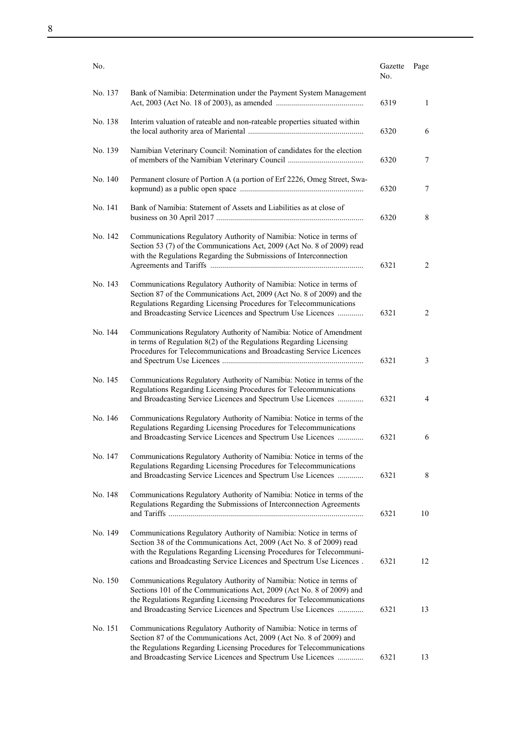| No. |  |  |
|-----|--|--|
|     |  |  |

| No.     |                                                                                                                                                                                                                                                                                           | Gazette<br>No. | Page |
|---------|-------------------------------------------------------------------------------------------------------------------------------------------------------------------------------------------------------------------------------------------------------------------------------------------|----------------|------|
| No. 137 | Bank of Namibia: Determination under the Payment System Management                                                                                                                                                                                                                        | 6319           | 1    |
| No. 138 | Interim valuation of rateable and non-rateable properties situated within                                                                                                                                                                                                                 | 6320           | 6    |
| No. 139 | Namibian Veterinary Council: Nomination of candidates for the election                                                                                                                                                                                                                    | 6320           | 7    |
| No. 140 | Permanent closure of Portion A (a portion of Erf 2226, Omeg Street, Swa-                                                                                                                                                                                                                  | 6320           | 7    |
| No. 141 | Bank of Namibia: Statement of Assets and Liabilities as at close of                                                                                                                                                                                                                       | 6320           | 8    |
| No. 142 | Communications Regulatory Authority of Namibia: Notice in terms of<br>Section 53 (7) of the Communications Act, 2009 (Act No. 8 of 2009) read<br>with the Regulations Regarding the Submissions of Interconnection                                                                        | 6321           | 2    |
| No. 143 | Communications Regulatory Authority of Namibia: Notice in terms of<br>Section 87 of the Communications Act, 2009 (Act No. 8 of 2009) and the<br>Regulations Regarding Licensing Procedures for Telecommunications<br>and Broadcasting Service Licences and Spectrum Use Licences          | 6321           | 2    |
| No. 144 | Communications Regulatory Authority of Namibia: Notice of Amendment<br>in terms of Regulation $8(2)$ of the Regulations Regarding Licensing<br>Procedures for Telecommunications and Broadcasting Service Licences                                                                        | 6321           | 3    |
| No. 145 | Communications Regulatory Authority of Namibia: Notice in terms of the<br>Regulations Regarding Licensing Procedures for Telecommunications<br>and Broadcasting Service Licences and Spectrum Use Licences                                                                                | 6321           | 4    |
| No. 146 | Communications Regulatory Authority of Namibia: Notice in terms of the<br>Regulations Regarding Licensing Procedures for Telecommunications<br>and Broadcasting Service Licences and Spectrum Use Licences                                                                                | 6321           | 6    |
| No. 147 | Communications Regulatory Authority of Namibia: Notice in terms of the<br>Regulations Regarding Licensing Procedures for Telecommunications<br>and Broadcasting Service Licences and Spectrum Use Licences                                                                                | 6321           | 8    |
| No. 148 | Communications Regulatory Authority of Namibia: Notice in terms of the<br>Regulations Regarding the Submissions of Interconnection Agreements                                                                                                                                             | 6321           | 10   |
| No. 149 | Communications Regulatory Authority of Namibia: Notice in terms of<br>Section 38 of the Communications Act, 2009 (Act No. 8 of 2009) read<br>with the Regulations Regarding Licensing Procedures for Telecommuni-<br>cations and Broadcasting Service Licences and Spectrum Use Licences. | 6321           | 12   |
| No. 150 | Communications Regulatory Authority of Namibia: Notice in terms of<br>Sections 101 of the Communications Act, 2009 (Act No. 8 of 2009) and<br>the Regulations Regarding Licensing Procedures for Telecommunications<br>and Broadcasting Service Licences and Spectrum Use Licences        | 6321           | 13   |
| No. 151 | Communications Regulatory Authority of Namibia: Notice in terms of<br>Section 87 of the Communications Act, 2009 (Act No. 8 of 2009) and<br>the Regulations Regarding Licensing Procedures for Telecommunications                                                                         |                |      |
|         | and Broadcasting Service Licences and Spectrum Use Licences                                                                                                                                                                                                                               | 6321           | 13   |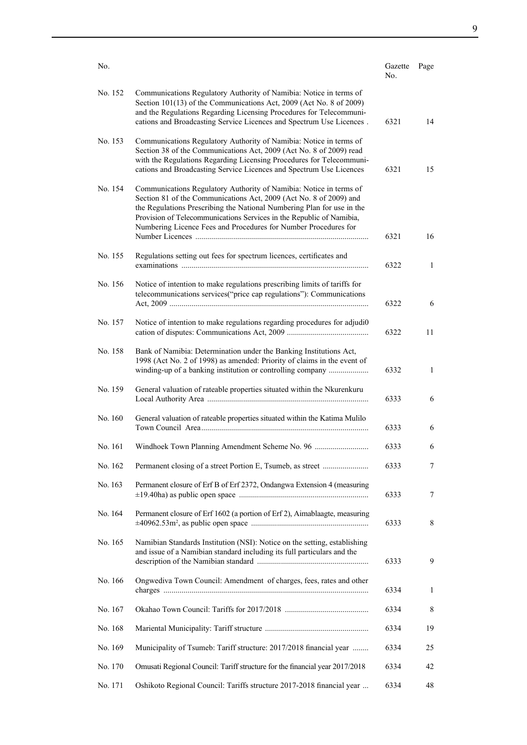|         |                                                                                                                                                                                                                                                                                                                                                               |                |      | 9 |
|---------|---------------------------------------------------------------------------------------------------------------------------------------------------------------------------------------------------------------------------------------------------------------------------------------------------------------------------------------------------------------|----------------|------|---|
|         |                                                                                                                                                                                                                                                                                                                                                               |                |      |   |
| No.     |                                                                                                                                                                                                                                                                                                                                                               | Gazette<br>No. | Page |   |
| No. 152 | Communications Regulatory Authority of Namibia: Notice in terms of<br>Section 101(13) of the Communications Act, 2009 (Act No. 8 of 2009)<br>and the Regulations Regarding Licensing Procedures for Telecommuni-<br>cations and Broadcasting Service Licences and Spectrum Use Licences.                                                                      | 6321           | 14   |   |
| No. 153 | Communications Regulatory Authority of Namibia: Notice in terms of<br>Section 38 of the Communications Act, 2009 (Act No. 8 of 2009) read<br>with the Regulations Regarding Licensing Procedures for Telecommuni-<br>cations and Broadcasting Service Licences and Spectrum Use Licences                                                                      | 6321           | 15   |   |
| No. 154 | Communications Regulatory Authority of Namibia: Notice in terms of<br>Section 81 of the Communications Act, 2009 (Act No. 8 of 2009) and<br>the Regulations Prescribing the National Numbering Plan for use in the<br>Provision of Telecommunications Services in the Republic of Namibia,<br>Numbering Licence Fees and Procedures for Number Procedures for | 6321           | 16   |   |
| No. 155 | Regulations setting out fees for spectrum licences, certificates and                                                                                                                                                                                                                                                                                          | 6322           | 1    |   |
| No. 156 | Notice of intention to make regulations prescribing limits of tariffs for<br>telecommunications services ("price cap regulations"): Communications                                                                                                                                                                                                            | 6322           | 6    |   |
| No. 157 | Notice of intention to make regulations regarding procedures for adjudio                                                                                                                                                                                                                                                                                      | 6322           | 11   |   |
| No. 158 | Bank of Namibia: Determination under the Banking Institutions Act,<br>1998 (Act No. 2 of 1998) as amended: Priority of claims in the event of<br>winding-up of a banking institution or controlling company                                                                                                                                                   | 6332           | 1    |   |

|         | 1998 (Act No. 2 of 1998) as amended: Priority of claims in the event of    | 6332 | $\mathbf{1}$ |
|---------|----------------------------------------------------------------------------|------|--------------|
| No. 159 | General valuation of rateable properties situated within the Nkurenkuru    | 6333 | 6            |
| No. 160 | General valuation of rateable properties situated within the Katima Mulilo | 6333 | 6            |
| No. 161 |                                                                            | 6333 | 6            |
| No. 162 |                                                                            | 6333 | $\tau$       |
| No. 163 | Permanent closure of Erf B of Erf 2372, Ondangwa Extension 4 (measuring    | 6333 | 7            |
| No. 164 | Permanent closure of Erf 1602 (a portion of Erf 2), Aimablaagte, measuring | 6333 | 8            |

|         | $+$ 0.000 0.000 0.000 0.000 0.000 0.000 0.0000 0.0000 0.0000 0.0000 0.0000 0.0000 0.0000 0.0000 0.0000 0.0000 0.0000 0.0000 0.0000 0.000 0.000 0.000 0.000 0.000 0.000 0.000 0.000 0.000 0.000 0.000 0.000 0.000 0.000 0.000 |      |    |
|---------|------------------------------------------------------------------------------------------------------------------------------------------------------------------------------------------------------------------------------|------|----|
| No. 165 | Namibian Standards Institution (NSI): Notice on the setting, establishing<br>and issue of a Namibian standard including its full particulars and the                                                                         | 6333 | 9  |
| No. 166 | Ongwediva Town Council: Amendment of charges, fees, rates and other                                                                                                                                                          | 6334 |    |
| No. 167 |                                                                                                                                                                                                                              | 6334 | 8  |
| No. 168 |                                                                                                                                                                                                                              | 6334 | 19 |
| No. 169 | Municipality of Tsumeb: Tariff structure: 2017/2018 financial year                                                                                                                                                           | 6334 | 25 |

No. 170 Omusati Regional Council: Tariff structure for the financial year 2017/2018 6334 42 No. 171 Oshikoto Regional Council: Tariffs structure 2017-2018 financial year ... 6334 48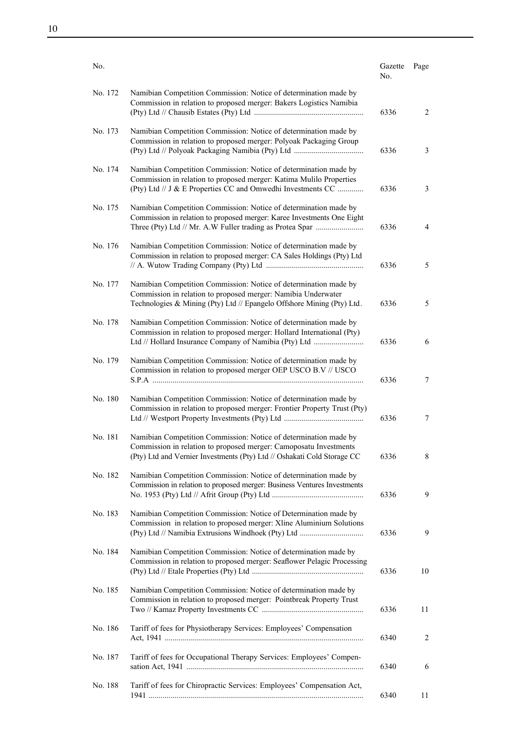| No.     |                                                                                                                                                                                                                  | Gazette<br>No. | Page |
|---------|------------------------------------------------------------------------------------------------------------------------------------------------------------------------------------------------------------------|----------------|------|
| No. 172 | Namibian Competition Commission: Notice of determination made by<br>Commission in relation to proposed merger: Bakers Logistics Namibia                                                                          | 6336           | 2    |
| No. 173 | Namibian Competition Commission: Notice of determination made by<br>Commission in relation to proposed merger: Polyoak Packaging Group                                                                           | 6336           | 3    |
| No. 174 | Namibian Competition Commission: Notice of determination made by<br>Commission in relation to proposed merger: Katima Mulilo Properties<br>(Pty) Ltd // J & E Properties CC and Omwedhi Investments CC           | 6336           | 3    |
| No. 175 | Namibian Competition Commission: Notice of determination made by<br>Commission in relation to proposed merger: Karee Investments One Eight<br>Three (Pty) Ltd // Mr. A.W Fuller trading as Protea Spar           | 6336           | 4    |
| No. 176 | Namibian Competition Commission: Notice of determination made by<br>Commission in relation to proposed merger: CA Sales Holdings (Pty) Ltd                                                                       | 6336           | 5    |
| No. 177 | Namibian Competition Commission: Notice of determination made by<br>Commission in relation to proposed merger: Namibia Underwater<br>Technologies & Mining (Pty) Ltd // Epangelo Offshore Mining (Pty) Ltd.      | 6336           | 5    |
| No. 178 | Namibian Competition Commission: Notice of determination made by<br>Commission in relation to proposed merger: Hollard International (Pty)<br>Ltd // Hollard Insurance Company of Namibia (Pty) Ltd              | 6336           | 6    |
| No. 179 | Namibian Competition Commission: Notice of determination made by<br>Commission in relation to proposed merger OEP USCO B.V // USCO                                                                               | 6336           | 7    |
| No. 180 | Namibian Competition Commission: Notice of determination made by<br>Commission in relation to proposed merger: Frontier Property Trust (Pty)                                                                     | 6336           | 7    |
| No. 181 | Namibian Competition Commission: Notice of determination made by<br>Commission in relation to proposed merger: Camoposatu Investments<br>(Pty) Ltd and Vernier Investments (Pty) Ltd // Oshakati Cold Storage CC | 6336           | 8    |
| No. 182 | Namibian Competition Commission: Notice of determination made by<br>Commission in relation to proposed merger: Business Ventures Investments                                                                     | 6336           | 9    |
| No. 183 | Namibian Competition Commission: Notice of Determination made by<br>Commission in relation to proposed merger: Xline Aluminium Solutions<br>(Pty) Ltd // Namibia Extrusions Windhoek (Pty) Ltd                   | 6336           | 9    |
| No. 184 | Namibian Competition Commission: Notice of determination made by<br>Commission in relation to proposed merger: Seaflower Pelagic Processing                                                                      | 6336           | 10   |
| No. 185 | Namibian Competition Commission: Notice of determination made by<br>Commission in relation to proposed merger: Pointbreak Property Trust                                                                         | 6336           | 11   |
| No. 186 | Tariff of fees for Physiotherapy Services: Employees' Compensation                                                                                                                                               | 6340           | 2    |
| No. 187 | Tariff of fees for Occupational Therapy Services: Employees' Compen-                                                                                                                                             | 6340           | 6    |
| No. 188 | Tariff of fees for Chiropractic Services: Employees' Compensation Act,                                                                                                                                           | 6340           | 11   |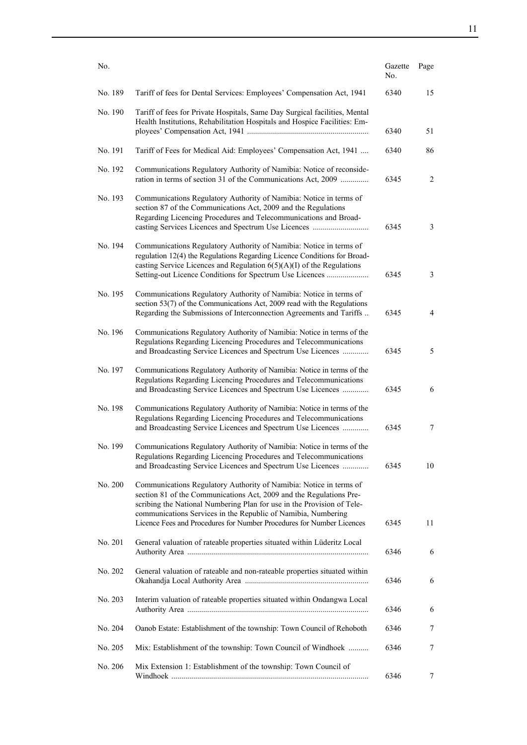| No.     |                                                                                                                                                                                                                                                                                                                                                               | Gazette<br>No. | Page |
|---------|---------------------------------------------------------------------------------------------------------------------------------------------------------------------------------------------------------------------------------------------------------------------------------------------------------------------------------------------------------------|----------------|------|
| No. 189 | Tariff of fees for Dental Services: Employees' Compensation Act, 1941                                                                                                                                                                                                                                                                                         | 6340           | 15   |
| No. 190 | Tariff of fees for Private Hospitals, Same Day Surgical facilities, Mental<br>Health Institutions, Rehabilitation Hospitals and Hospice Facilities: Em-                                                                                                                                                                                                       | 6340           | 51   |
| No. 191 | Tariff of Fees for Medical Aid: Employees' Compensation Act, 1941                                                                                                                                                                                                                                                                                             | 6340           | 86   |
| No. 192 | Communications Regulatory Authority of Namibia: Notice of reconside-<br>ration in terms of section 31 of the Communications Act, 2009                                                                                                                                                                                                                         | 6345           | 2    |
| No. 193 | Communications Regulatory Authority of Namibia: Notice in terms of<br>section 87 of the Communications Act, 2009 and the Regulations<br>Regarding Licencing Procedures and Telecommunications and Broad-                                                                                                                                                      | 6345           | 3    |
| No. 194 | Communications Regulatory Authority of Namibia: Notice in terms of<br>regulation 12(4) the Regulations Regarding Licence Conditions for Broad-<br>casting Service Licences and Regulation $6(5)(A)(I)$ of the Regulations<br>Setting-out Licence Conditions for Spectrum Use Licences                                                                         | 6345           | 3    |
| No. 195 | Communications Regulatory Authority of Namibia: Notice in terms of<br>section 53(7) of the Communications Act, 2009 read with the Regulations<br>Regarding the Submissions of Interconnection Agreements and Tariffs                                                                                                                                          | 6345           | 4    |
| No. 196 | Communications Regulatory Authority of Namibia: Notice in terms of the<br>Regulations Regarding Licencing Procedures and Telecommunications<br>and Broadcasting Service Licences and Spectrum Use Licences                                                                                                                                                    | 6345           | 5    |
| No. 197 | Communications Regulatory Authority of Namibia: Notice in terms of the<br>Regulations Regarding Licencing Procedures and Telecommunications<br>and Broadcasting Service Licences and Spectrum Use Licences                                                                                                                                                    | 6345           | 6    |
| No. 198 | Communications Regulatory Authority of Namibia: Notice in terms of the<br>Regulations Regarding Licencing Procedures and Telecommunications<br>and Broadcasting Service Licences and Spectrum Use Licences                                                                                                                                                    | 6345           | 7    |
| No. 199 | Communications Regulatory Authority of Namibia: Notice in terms of the<br>Regulations Regarding Licencing Procedures and Telecommunications<br>and Broadcasting Service Licences and Spectrum Use Licences                                                                                                                                                    | 6345           | 10   |
| No. 200 | Communications Regulatory Authority of Namibia: Notice in terms of<br>section 81 of the Communications Act, 2009 and the Regulations Pre-<br>scribing the National Numbering Plan for use in the Provision of Tele-<br>communications Services in the Republic of Namibia, Numbering<br>Licence Fees and Procedures for Number Procedures for Number Licences | 6345           | 11   |
| No. 201 | General valuation of rateable properties situated within Lüderitz Local                                                                                                                                                                                                                                                                                       | 6346           | 6    |
| No. 202 | General valuation of rateable and non-rateable properties situated within                                                                                                                                                                                                                                                                                     | 6346           | 6    |
| No. 203 | Interim valuation of rateable properties situated within Ondangwa Local                                                                                                                                                                                                                                                                                       | 6346           | 6    |
| No. 204 | Oanob Estate: Establishment of the township: Town Council of Rehoboth                                                                                                                                                                                                                                                                                         | 6346           | 7    |
| No. 205 | Mix: Establishment of the township: Town Council of Windhoek                                                                                                                                                                                                                                                                                                  | 6346           | 7    |
| No. 206 | Mix Extension 1: Establishment of the township: Town Council of                                                                                                                                                                                                                                                                                               | 6346           | 7    |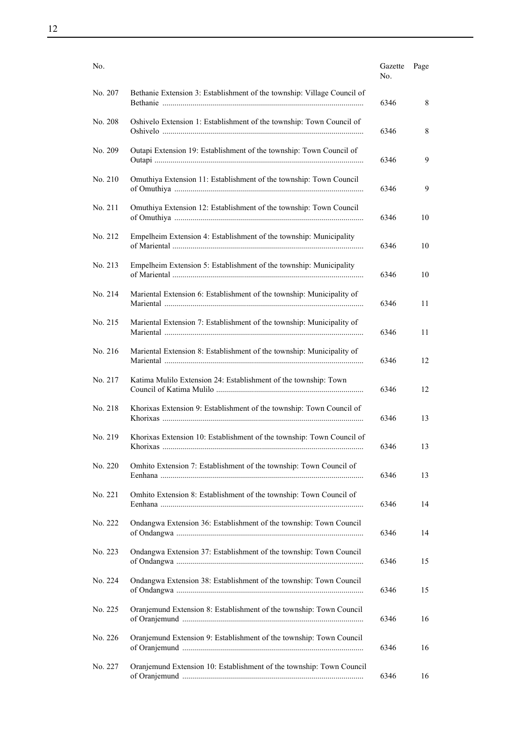| No.     |                                                                         | Gazette<br>No. | Page |
|---------|-------------------------------------------------------------------------|----------------|------|
| No. 207 | Bethanie Extension 3: Establishment of the township: Village Council of | 6346           | 8    |
| No. 208 | Oshivelo Extension 1: Establishment of the township: Town Council of    | 6346           | 8    |
| No. 209 | Outapi Extension 19: Establishment of the township: Town Council of     | 6346           | 9    |
| No. 210 | Omuthiya Extension 11: Establishment of the township: Town Council      | 6346           | 9    |
| No. 211 | Omuthiya Extension 12: Establishment of the township: Town Council      | 6346           | 10   |
| No. 212 | Empelheim Extension 4: Establishment of the township: Municipality      | 6346           | 10   |
| No. 213 | Empelheim Extension 5: Establishment of the township: Municipality      | 6346           | 10   |
| No. 214 | Mariental Extension 6: Establishment of the township: Municipality of   | 6346           | 11   |
| No. 215 | Mariental Extension 7: Establishment of the township: Municipality of   | 6346           | 11   |
| No. 216 | Mariental Extension 8: Establishment of the township: Municipality of   | 6346           | 12   |
| No. 217 | Katima Mulilo Extension 24: Establishment of the township: Town         | 6346           | 12   |
| No. 218 | Khorixas Extension 9: Establishment of the township: Town Council of    | 6346           | 13   |
| No. 219 | Khorixas Extension 10: Establishment of the township: Town Council of   | 6346           | 13   |
| No. 220 | Omhito Extension 7: Establishment of the township: Town Council of      | 6346           | 13   |
| No. 221 | Omhito Extension 8: Establishment of the township: Town Council of      | 6346           | 14   |
| No. 222 | Ondangwa Extension 36: Establishment of the township: Town Council      | 6346           | 14   |
| No. 223 | Ondangwa Extension 37: Establishment of the township: Town Council      | 6346           | 15   |
| No. 224 | Ondangwa Extension 38: Establishment of the township: Town Council      | 6346           | 15   |
| No. 225 | Oranjemund Extension 8: Establishment of the township: Town Council     | 6346           | 16   |
| No. 226 | Oranjemund Extension 9: Establishment of the township: Town Council     | 6346           | 16   |
| No. 227 | Oranjemund Extension 10: Establishment of the township: Town Council    | 6346           | 16   |